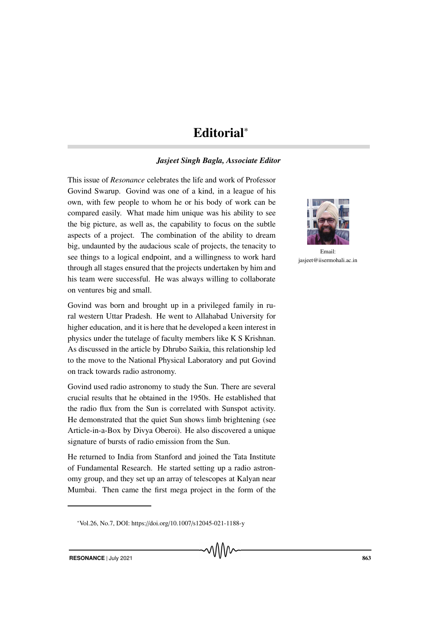## Editorial<sup>∗</sup>

## *Jasjeet Singh Bagla, Associate Editor*

This issue of *Resonance* celebrates the life and work of Professor Govind Swarup. Govind was one of a kind, in a league of his own, with few people to whom he or his body of work can be compared easily. What made him unique was his ability to see the big picture, as well as, the capability to focus on the subtle aspects of a project. The combination of the ability to dream big, undaunted by the audacious scale of projects, the tenacity to see things to a logical endpoint, and a willingness to work hard through all stages ensured that the projects undertaken by him and his team were successful. He was always willing to collaborate on ventures big and small.

Govind was born and brought up in a privileged family in rural western Uttar Pradesh. He went to Allahabad University for higher education, and it is here that he developed a keen interest in physics under the tutelage of faculty members like K S Krishnan. As discussed in the article by Dhrubo Saikia, this relationship led to the move to the National Physical Laboratory and put Govind on track towards radio astronomy.

Govind used radio astronomy to study the Sun. There are several crucial results that he obtained in the 1950s. He established that the radio flux from the Sun is correlated with Sunspot activity. He demonstrated that the quiet Sun shows limb brightening (see Article-in-a-Box by Divya Oberoi). He also discovered a unique signature of bursts of radio emission from the Sun.

He returned to India from Stanford and joined the Tata Institute of Fundamental Research. He started setting up a radio astronomy group, and they set up an array of telescopes at Kalyan near Mumbai. Then came the first mega project in the form of the



Email: jasjeet@iisermohali.ac.in

<sup>∗</sup>Vol.26, No.7, DOI: https://doi.org/10.1007/s12045-021-1188-y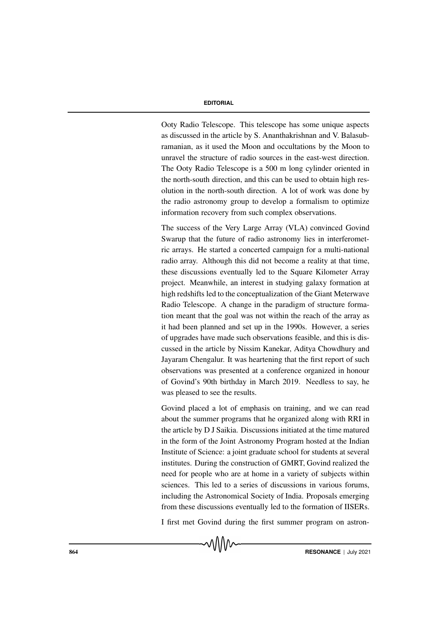## **EDITORIAL**

Ooty Radio Telescope. This telescope has some unique aspects as discussed in the article by S. Ananthakrishnan and V. Balasubramanian, as it used the Moon and occultations by the Moon to unravel the structure of radio sources in the east-west direction. The Ooty Radio Telescope is a 500 m long cylinder oriented in the north-south direction, and this can be used to obtain high resolution in the north-south direction. A lot of work was done by the radio astronomy group to develop a formalism to optimize information recovery from such complex observations.

The success of the Very Large Array (VLA) convinced Govind Swarup that the future of radio astronomy lies in interferometric arrays. He started a concerted campaign for a multi-national radio array. Although this did not become a reality at that time, these discussions eventually led to the Square Kilometer Array project. Meanwhile, an interest in studying galaxy formation at high redshifts led to the conceptualization of the Giant Meterwave Radio Telescope. A change in the paradigm of structure formation meant that the goal was not within the reach of the array as it had been planned and set up in the 1990s. However, a series of upgrades have made such observations feasible, and this is discussed in the article by Nissim Kanekar, Aditya Chowdhury and Jayaram Chengalur. It was heartening that the first report of such observations was presented at a conference organized in honour of Govind's 90th birthday in March 2019. Needless to say, he was pleased to see the results.

Govind placed a lot of emphasis on training, and we can read about the summer programs that he organized along with RRI in the article by D J Saikia. Discussions initiated at the time matured in the form of the Joint Astronomy Program hosted at the Indian Institute of Science: a joint graduate school for students at several institutes. During the construction of GMRT, Govind realized the need for people who are at home in a variety of subjects within sciences. This led to a series of discussions in various forums, including the Astronomical Society of India. Proposals emerging from these discussions eventually led to the formation of IISERs.

I first met Govind during the first summer program on astron-